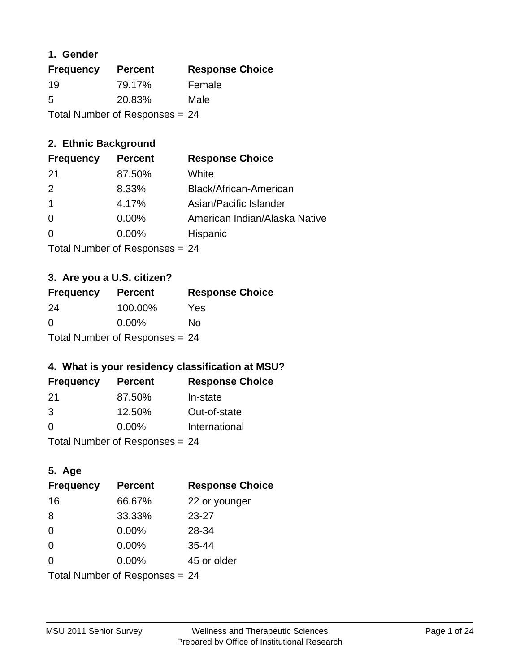### **1. Gender**

| <b>Frequency</b>               | <b>Percent</b> | <b>Response Choice</b> |
|--------------------------------|----------------|------------------------|
| 19                             | 79.17%         | Female                 |
| 5                              | 20.83%         | Male                   |
| Total Number of Responses = 24 |                |                        |

# **2. Ethnic Background**

| <b>Frequency</b> | <b>Percent</b> | <b>Response Choice</b>        |
|------------------|----------------|-------------------------------|
| -21              | 87.50%         | White                         |
| $\mathcal{P}$    | 8.33%          | Black/African-American        |
|                  | 4.17%          | Asian/Pacific Islander        |
| $\Omega$         | 0.00%          | American Indian/Alaska Native |
| $\Omega$         | 0.00%          | Hispanic                      |
|                  |                |                               |

Total Number of Responses = 24

# **3. Are you a U.S. citizen?**

| <b>Frequency</b> | <b>Percent</b>                 | <b>Response Choice</b> |
|------------------|--------------------------------|------------------------|
| -24              | 100.00%                        | Yes                    |
| $\Omega$         | $0.00\%$                       | No                     |
|                  | Total Number of Responses = 24 |                        |

# **4. What is your residency classification at MSU?**

| <b>Frequency</b> | <b>Percent</b> | <b>Response Choice</b> |
|------------------|----------------|------------------------|
| -21              | 87.50%         | In-state               |
| 3                | 12.50%         | Out-of-state           |
| $\Omega$         | $0.00\%$       | International          |
|                  |                |                        |

Total Number of Responses = 24

# **5. Age**

| <b>Frequency</b>               | <b>Percent</b> | <b>Response Choice</b> |
|--------------------------------|----------------|------------------------|
| 16                             | 66.67%         | 22 or younger          |
| 8                              | 33.33%         | $23 - 27$              |
| $\Omega$                       | 0.00%          | 28-34                  |
| $\Omega$                       | 0.00%          | $35 - 44$              |
| 0                              | 0.00%          | 45 or older            |
| Total Number of Responses = 24 |                |                        |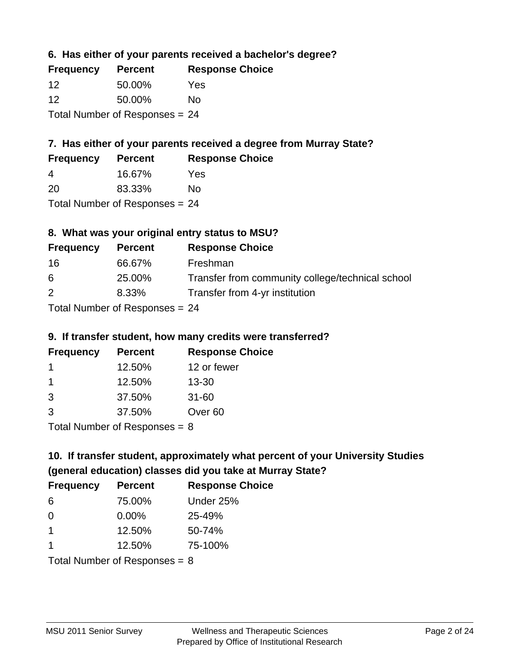### **6. Has either of your parents received a bachelor's degree?**

| <b>Frequency</b>                 | <b>Percent</b> | <b>Response Choice</b> |
|----------------------------------|----------------|------------------------|
| 12                               | 50.00%         | Yes                    |
| 12                               | 50.00%         | Nο                     |
| Total Number of Responses $= 24$ |                |                        |

# **7. Has either of your parents received a degree from Murray State?**

| <b>Frequency</b> | <b>Percent</b> | <b>Response Choice</b> |
|------------------|----------------|------------------------|
| 4                | 16.67%         | Yes                    |
| -20              | 83.33%         | No                     |

Total Number of Responses = 24

# **8. What was your original entry status to MSU?**

| <b>Frequency</b>             | <b>Percent</b> | <b>Response Choice</b>                           |
|------------------------------|----------------|--------------------------------------------------|
| -16                          | 66.67%         | Freshman                                         |
| 6                            | 25.00%         | Transfer from community college/technical school |
| 2                            | 8.33%          | Transfer from 4-yr institution                   |
| Total Number of Deepensee 24 |                |                                                  |

Total Number of Responses = 24

#### **9. If transfer student, how many credits were transferred?**

| <b>Frequency</b>           | <b>Percent</b> | <b>Response Choice</b> |
|----------------------------|----------------|------------------------|
|                            | 12.50%         | 12 or fewer            |
|                            | 12.50%         | $13 - 30$              |
| -3                         | 37.50%         | $31 - 60$              |
| -3                         | 37.50%         | Over <sub>60</sub>     |
| Tatal Number of Desperance |                |                        |

Total Number of Responses = 8

# **10. If transfer student, approximately what percent of your University Studies (general education) classes did you take at Murray State?**

| <b>Frequency</b>                | <b>Percent</b> | <b>Response Choice</b> |
|---------------------------------|----------------|------------------------|
| -6                              | 75.00%         | Under 25%              |
| $\Omega$                        | $0.00\%$       | 25-49%                 |
| $\mathbf 1$                     | 12.50%         | 50-74%                 |
| 1                               | 12.50%         | 75-100%                |
| Total Number of Responses = $8$ |                |                        |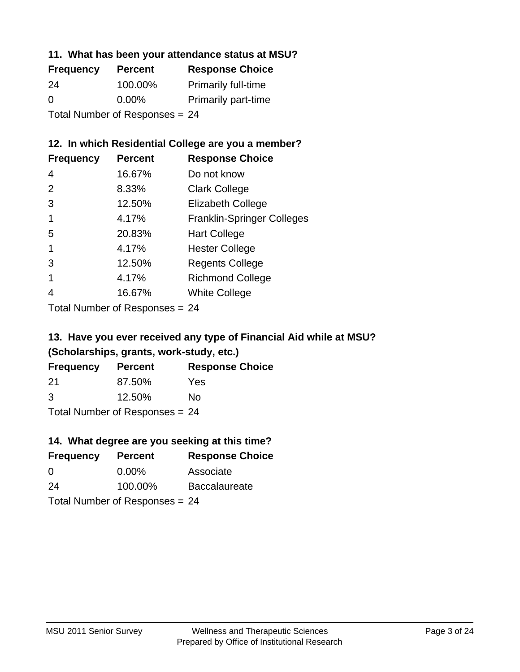### **11. What has been your attendance status at MSU?**

| <b>Frequency</b>               | <b>Percent</b> | <b>Response Choice</b>     |
|--------------------------------|----------------|----------------------------|
| 24                             | 100.00%        | <b>Primarily full-time</b> |
| $\Omega$                       | $0.00\%$       | <b>Primarily part-time</b> |
| Total Number of Responses = 24 |                |                            |

### **12. In which Residential College are you a member?**

| <b>Frequency</b> | <b>Percent</b> | <b>Response Choice</b>            |
|------------------|----------------|-----------------------------------|
| 4                | 16.67%         | Do not know                       |
| 2                | 8.33%          | <b>Clark College</b>              |
| 3                | 12.50%         | <b>Elizabeth College</b>          |
|                  | 4.17%          | <b>Franklin-Springer Colleges</b> |
| 5                | 20.83%         | <b>Hart College</b>               |
| 1                | 4.17%          | <b>Hester College</b>             |
| 3                | 12.50%         | <b>Regents College</b>            |
|                  | 4.17%          | <b>Richmond College</b>           |
|                  | 16.67%         | <b>White College</b>              |
|                  |                |                                   |

Total Number of Responses = 24

# **13. Have you ever received any type of Financial Aid while at MSU? (Scholarships, grants, work-study, etc.)**

| <b>Frequency</b> | <b>Percent</b>             | <b>Response Choice</b> |
|------------------|----------------------------|------------------------|
| 21               | 87.50%                     | Yes                    |
| 3                | 12.50%                     | Nο                     |
|                  | Total Number of Desperance |                        |

Total Number of Responses = 24

# **14. What degree are you seeking at this time?**

| <b>Frequency</b> | <b>Percent</b>                 | <b>Response Choice</b> |
|------------------|--------------------------------|------------------------|
| 0                | $0.00\%$                       | Associate              |
| 24               | 100.00%                        | <b>Baccalaureate</b>   |
|                  | Total Number of Responses = 24 |                        |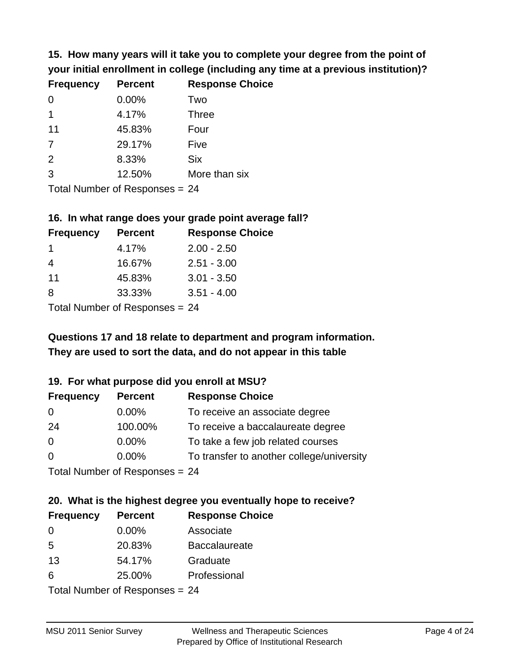**15. How many years will it take you to complete your degree from the point of your initial enrollment in college (including any time at a previous institution)?**

| <b>Frequency</b> | <b>Percent</b> | <b>Response Choice</b> |
|------------------|----------------|------------------------|
| $\Omega$         | 0.00%          | Two                    |
| 1                | 4.17%          | <b>Three</b>           |
| 11               | 45.83%         | Four                   |
| 7                | 29.17%         | Five                   |
| 2                | 8.33%          | <b>Six</b>             |
| 3                | 12.50%         | More than six          |
|                  |                |                        |

Total Number of Responses = 24

#### **16. In what range does your grade point average fall?**

| <b>Frequency</b> | <b>Percent</b> | <b>Response Choice</b> |
|------------------|----------------|------------------------|
|                  | 4.17%          | $2.00 - 2.50$          |
| 4                | 16.67%         | $2.51 - 3.00$          |
| 11               | 45.83%         | $3.01 - 3.50$          |
| 8                | 33.33%         | $3.51 - 4.00$          |
|                  |                |                        |

Total Number of Responses = 24

# **They are used to sort the data, and do not appear in this table Questions 17 and 18 relate to department and program information.**

#### **19. For what purpose did you enroll at MSU?**

| <b>Frequency</b> | <b>Percent</b>                  | <b>Response Choice</b>                    |
|------------------|---------------------------------|-------------------------------------------|
| 0                | $0.00\%$                        | To receive an associate degree            |
| 24               | 100.00%                         | To receive a baccalaureate degree         |
| $\overline{0}$   | $0.00\%$                        | To take a few job related courses         |
| $\Omega$         | 0.00%                           | To transfer to another college/university |
|                  | Total Number of Responses $-24$ |                                           |

Total Number of Responses = 24

# **20. What is the highest degree you eventually hope to receive?**

| <b>Frequency</b> | <b>Percent</b>                 | <b>Response Choice</b> |
|------------------|--------------------------------|------------------------|
| $\Omega$         | $0.00\%$                       | Associate              |
| 5                | 20.83%                         | <b>Baccalaureate</b>   |
| 13               | 54.17%                         | Graduate               |
| 6                | 25.00%                         | Professional           |
|                  | Total Number of Responses = 24 |                        |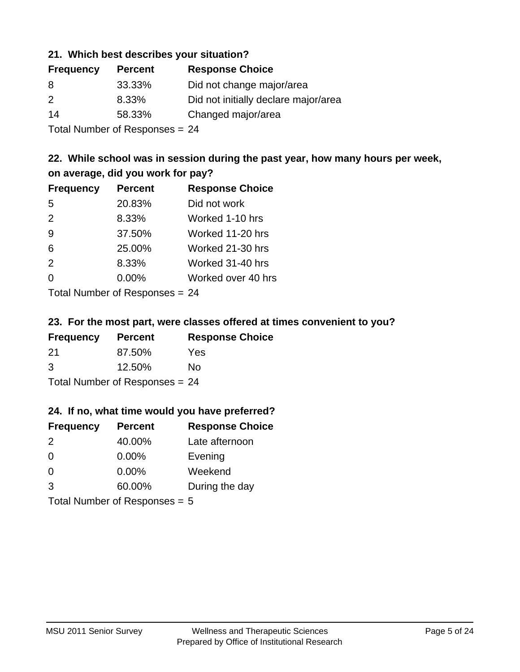#### **21. Which best describes your situation?**

| <b>Frequency</b> | <b>Percent</b> | <b>Response Choice</b>               |
|------------------|----------------|--------------------------------------|
| 8                | 33.33%         | Did not change major/area            |
| $\mathcal{P}$    | 8.33%          | Did not initially declare major/area |
| 14               | 58.33%         | Changed major/area                   |
|                  |                |                                      |

Total Number of Responses = 24

# **22. While school was in session during the past year, how many hours per week, on average, did you work for pay?**

| <b>Frequency</b> | <b>Percent</b> | <b>Response Choice</b> |
|------------------|----------------|------------------------|
| 5                | 20.83%         | Did not work           |
| 2                | 8.33%          | Worked 1-10 hrs        |
| 9                | 37.50%         | Worked 11-20 hrs       |
| 6                | 25.00%         | Worked 21-30 hrs       |
| 2                | 8.33%          | Worked 31-40 hrs       |
| 0                | 0.00%          | Worked over 40 hrs     |
|                  |                |                        |

Total Number of Responses = 24

#### **23. For the most part, were classes offered at times convenient to you?**

| <b>Frequency</b>               | <b>Percent</b> | <b>Response Choice</b> |
|--------------------------------|----------------|------------------------|
| 21                             | 87.50%         | Yes                    |
| 3                              | 12.50%         | Nο                     |
| Total Number of Responses = 24 |                |                        |

#### **24. If no, what time would you have preferred?**

| <b>Frequency</b>                | <b>Percent</b> | <b>Response Choice</b> |
|---------------------------------|----------------|------------------------|
| 2                               | 40.00%         | Late afternoon         |
| 0                               | 0.00%          | Evening                |
| 0                               | $0.00\%$       | Weekend                |
| 3                               | 60.00%         | During the day         |
| Total Number of Responses = $5$ |                |                        |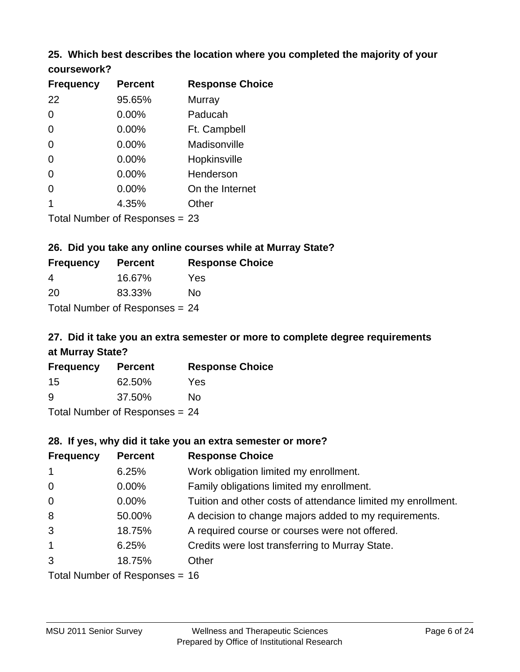# **25. Which best describes the location where you completed the majority of your**

| coursework? |  |
|-------------|--|
|-------------|--|

| <b>Frequency</b> | <b>Percent</b>                   | <b>Response Choice</b> |
|------------------|----------------------------------|------------------------|
| 22               | 95.65%                           | Murray                 |
| 0                | 0.00%                            | Paducah                |
| 0                | 0.00%                            | Ft. Campbell           |
| 0                | $0.00\%$                         | Madisonville           |
| 0                | 0.00%                            | Hopkinsville           |
| 0                | $0.00\%$                         | Henderson              |
| 0                | 0.00%                            | On the Internet        |
| 1                | 4.35%                            | Other                  |
|                  | Total Number of Responses $= 23$ |                        |

#### **26. Did you take any online courses while at Murray State?**

| <b>Frequency</b>               | <b>Percent</b> | <b>Response Choice</b> |  |
|--------------------------------|----------------|------------------------|--|
| -4                             | 16.67%         | Yes                    |  |
| -20                            | 83.33%         | Nο                     |  |
| Total Number of Responses = 24 |                |                        |  |

# **27. Did it take you an extra semester or more to complete degree requirements at Murray State?**

| <b>Frequency</b>             | <b>Percent</b> | <b>Response Choice</b> |  |
|------------------------------|----------------|------------------------|--|
| -15                          | 62.50%         | Yes                    |  |
| <u>g</u>                     | 37.50%         | No                     |  |
| Total Number of Deepensee 24 |                |                        |  |

Total Number of Responses = 24

#### **28. If yes, why did it take you an extra semester or more?**

| <b>Frequency</b>                 | <b>Percent</b> | <b>Response Choice</b>                                       |
|----------------------------------|----------------|--------------------------------------------------------------|
| $\overline{1}$                   | 6.25%          | Work obligation limited my enrollment.                       |
| $\mathbf 0$                      | $0.00\%$       | Family obligations limited my enrollment.                    |
| $\mathbf 0$                      | 0.00%          | Tuition and other costs of attendance limited my enrollment. |
| 8                                | 50.00%         | A decision to change majors added to my requirements.        |
| 3                                | 18.75%         | A required course or courses were not offered.               |
| $\mathbf{1}$                     | 6.25%          | Credits were lost transferring to Murray State.              |
| 3                                | 18.75%         | Other                                                        |
| Total Number of Responses = $16$ |                |                                                              |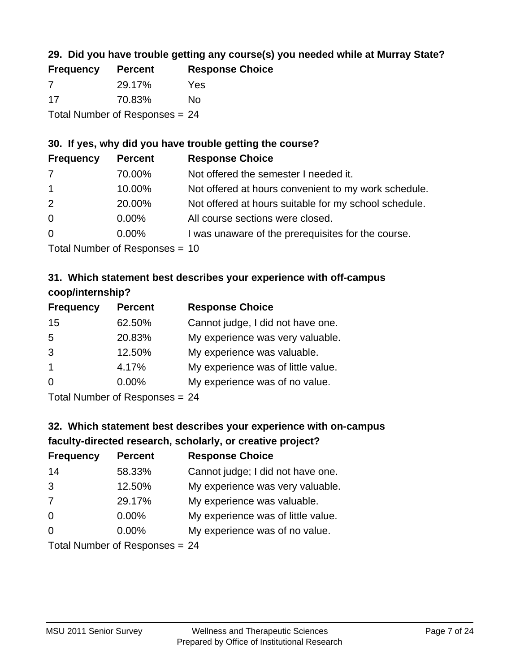# **29. Did you have trouble getting any course(s) you needed while at Murray State?**

| <b>Frequency</b>                 | <b>Percent</b> | <b>Response Choice</b> |  |
|----------------------------------|----------------|------------------------|--|
| -7                               | 29.17%         | Yes                    |  |
| -17                              | 70.83%         | No.                    |  |
| Total Number of Responses $= 24$ |                |                        |  |

# **30. If yes, why did you have trouble getting the course?**

| <b>Frequency</b> | <b>Percent</b> | <b>Response Choice</b>                                |
|------------------|----------------|-------------------------------------------------------|
| 7                | 70.00%         | Not offered the semester I needed it.                 |
| $\mathbf{1}$     | 10.00%         | Not offered at hours convenient to my work schedule.  |
| 2                | 20.00%         | Not offered at hours suitable for my school schedule. |
| $\overline{0}$   | $0.00\%$       | All course sections were closed.                      |
| $\overline{0}$   | $0.00\%$       | I was unaware of the prerequisites for the course.    |
|                  |                |                                                       |

Total Number of Responses = 10

### **31. Which statement best describes your experience with off-campus coop/internship?**

| <b>Frequency</b> | <b>Percent</b> | <b>Response Choice</b>             |
|------------------|----------------|------------------------------------|
| 15               | 62.50%         | Cannot judge, I did not have one.  |
| 5                | 20.83%         | My experience was very valuable.   |
| 3                | 12.50%         | My experience was valuable.        |
| $\overline{1}$   | 4.17%          | My experience was of little value. |
| $\Omega$         | 0.00%          | My experience was of no value.     |
|                  |                |                                    |

Total Number of Responses = 24

# **32. Which statement best describes your experience with on-campus faculty-directed research, scholarly, or creative project?**

| <b>Frequency</b> | <b>Percent</b>                 | <b>Response Choice</b>             |
|------------------|--------------------------------|------------------------------------|
| 14               | 58.33%                         | Cannot judge; I did not have one.  |
| 3                | 12.50%                         | My experience was very valuable.   |
| 7                | 29.17%                         | My experience was valuable.        |
| $\Omega$         | $0.00\%$                       | My experience was of little value. |
| $\Omega$         | $0.00\%$                       | My experience was of no value.     |
|                  | $Total Number of Denonce - 24$ |                                    |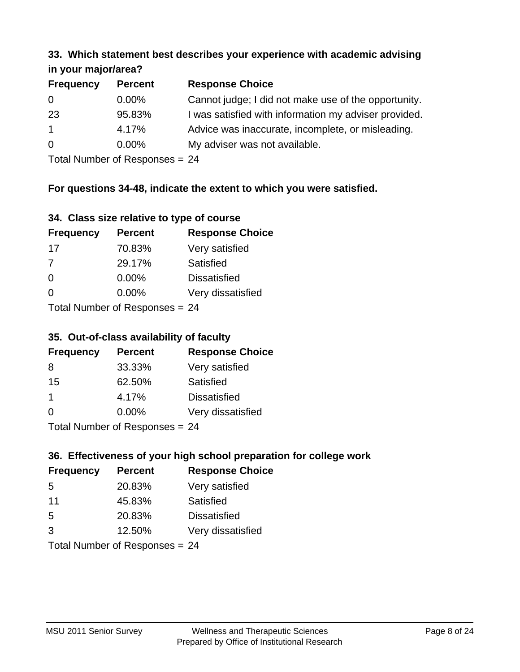#### **33. Which statement best describes your experience with academic advising in your major/area?**

| $\mathbf{u}$ yvu $\mathbf{u}$ yvu $\mathbf{v}$ |                |                                                       |
|------------------------------------------------|----------------|-------------------------------------------------------|
| <b>Frequency</b>                               | <b>Percent</b> | <b>Response Choice</b>                                |
| 0                                              | $0.00\%$       | Cannot judge; I did not make use of the opportunity.  |
| 23                                             | 95.83%         | I was satisfied with information my adviser provided. |
| $\mathbf{1}$                                   | 4.17%          | Advice was inaccurate, incomplete, or misleading.     |
| $\overline{0}$                                 | $0.00\%$       | My adviser was not available.                         |
|                                                |                |                                                       |

Total Number of Responses = 24

# **For questions 34-48, indicate the extent to which you were satisfied.**

| 34. Class size relative to type of course |
|-------------------------------------------|
|-------------------------------------------|

| <b>Frequency</b>                | <b>Percent</b> | <b>Response Choice</b> |  |
|---------------------------------|----------------|------------------------|--|
| -17                             | 70.83%         | Very satisfied         |  |
| $\overline{7}$                  | 29.17%         | Satisfied              |  |
| $\Omega$                        | $0.00\%$       | <b>Dissatisfied</b>    |  |
| $\Omega$                        | 0.00%          | Very dissatisfied      |  |
| Total Number of Responses $-24$ |                |                        |  |

Total Number of Responses = 24

# **35. Out-of-class availability of faculty**

| <b>Frequency</b> | <b>Percent</b>             | <b>Response Choice</b> |
|------------------|----------------------------|------------------------|
| 8                | 33.33%                     | Very satisfied         |
| 15               | 62.50%                     | Satisfied              |
| 1                | 4.17%                      | <b>Dissatisfied</b>    |
| $\Omega$         | $0.00\%$                   | Very dissatisfied      |
|                  | Total Number of Deepersoon |                        |

Total Number of Responses = 24

# **36. Effectiveness of your high school preparation for college work**

| <b>Frequency</b> | <b>Percent</b>                 | <b>Response Choice</b> |
|------------------|--------------------------------|------------------------|
| 5                | 20.83%                         | Very satisfied         |
| 11               | 45.83%                         | Satisfied              |
| 5                | 20.83%                         | <b>Dissatisfied</b>    |
| 3                | 12.50%                         | Very dissatisfied      |
|                  | Total Number of Responses = 24 |                        |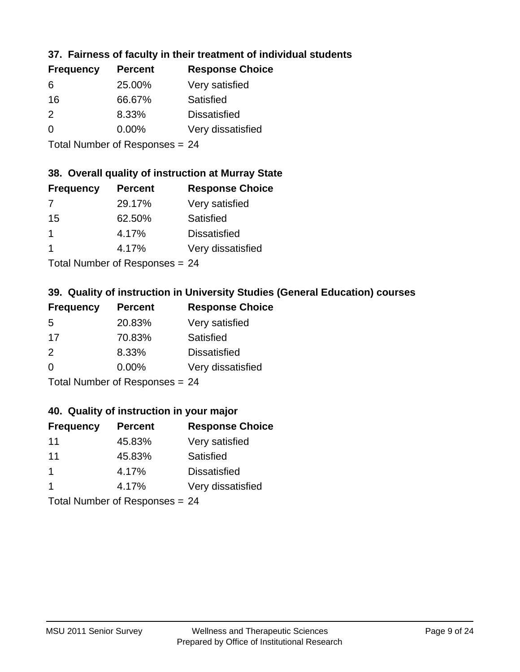# **37. Fairness of faculty in their treatment of individual students**

| <b>Frequency</b> | <b>Percent</b> | <b>Response Choice</b> |
|------------------|----------------|------------------------|
| 6                | 25.00%         | Very satisfied         |
| 16               | 66.67%         | Satisfied              |
| $\mathcal{P}$    | 8.33%          | <b>Dissatisfied</b>    |
| $\Omega$         | 0.00%          | Very dissatisfied      |
|                  |                |                        |

Total Number of Responses = 24

#### **38. Overall quality of instruction at Murray State**

| <b>Frequency</b> | <b>Percent</b> | <b>Response Choice</b> |
|------------------|----------------|------------------------|
| 7                | 29.17%         | Very satisfied         |
| 15               | 62.50%         | Satisfied              |
|                  | 4.17%          | <b>Dissatisfied</b>    |
|                  | 4.17%          | Very dissatisfied      |
|                  |                |                        |

Total Number of Responses = 24

# **39. Quality of instruction in University Studies (General Education) courses**

| <b>Frequency</b> | <b>Percent</b>            | <b>Response Choice</b> |
|------------------|---------------------------|------------------------|
| 5                | 20.83%                    | Very satisfied         |
| 17               | 70.83%                    | Satisfied              |
| $\mathcal{P}$    | 8.33%                     | <b>Dissatisfied</b>    |
| $\Omega$         | 0.00%                     | Very dissatisfied      |
|                  | Total Number of Deepensee |                        |

Total Number of Responses = 24

#### **40. Quality of instruction in your major**

| <b>Frequency</b> | <b>Percent</b>            | <b>Response Choice</b> |
|------------------|---------------------------|------------------------|
| 11               | 45.83%                    | Very satisfied         |
| 11               | 45.83%                    | Satisfied              |
| $\mathbf 1$      | 4.17%                     | <b>Dissatisfied</b>    |
|                  | 4.17%                     | Very dissatisfied      |
|                  | Total Number of Deepensee |                        |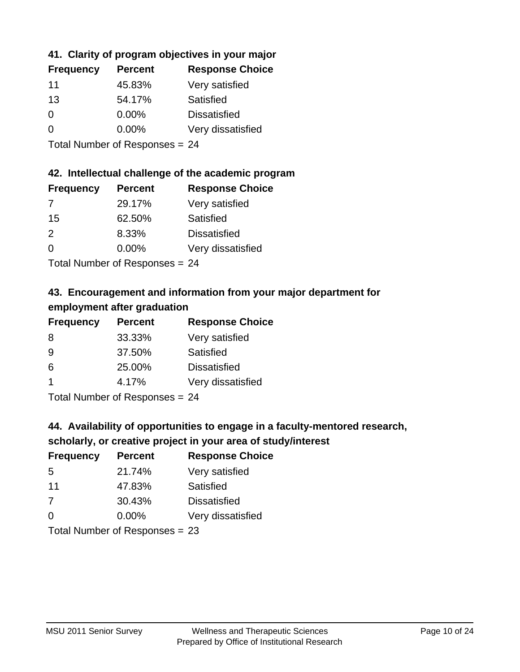# **41. Clarity of program objectives in your major**

| <b>Frequency</b> | <b>Percent</b> | <b>Response Choice</b> |
|------------------|----------------|------------------------|
| 11               | 45.83%         | Very satisfied         |
| 13               | 54.17%         | Satisfied              |
| 0                | $0.00\%$       | <b>Dissatisfied</b>    |
| $\Omega$         | $0.00\%$       | Very dissatisfied      |
|                  |                |                        |

Total Number of Responses = 24

#### **42. Intellectual challenge of the academic program**

| <b>Frequency</b> | <b>Percent</b> | <b>Response Choice</b> |
|------------------|----------------|------------------------|
| 7                | 29.17%         | Very satisfied         |
| 15               | 62.50%         | Satisfied              |
| $\mathcal{P}$    | 8.33%          | <b>Dissatisfied</b>    |
| $\Omega$         | 0.00%          | Very dissatisfied      |
|                  |                |                        |

Total Number of Responses = 24

# **43. Encouragement and information from your major department for employment after graduation**

| <b>Frequency</b> | <b>Percent</b> | <b>Response Choice</b> |
|------------------|----------------|------------------------|
| 8                | 33.33%         | Very satisfied         |
| 9                | 37.50%         | Satisfied              |
| 6                | 25.00%         | <b>Dissatisfied</b>    |
| $\overline{1}$   | 4.17%          | Very dissatisfied      |
|                  |                |                        |

Total Number of Responses = 24

# **44. Availability of opportunities to engage in a faculty-mentored research,**

#### **scholarly, or creative project in your area of study/interest**

| <b>Frequency</b> | <b>Percent</b> | <b>Response Choice</b> |
|------------------|----------------|------------------------|
| .5               | 21.74%         | Very satisfied         |
| 11               | 47.83%         | Satisfied              |
| 7                | 30.43%         | <b>Dissatisfied</b>    |
| $\Omega$         | 0.00%          | Very dissatisfied      |
|                  |                |                        |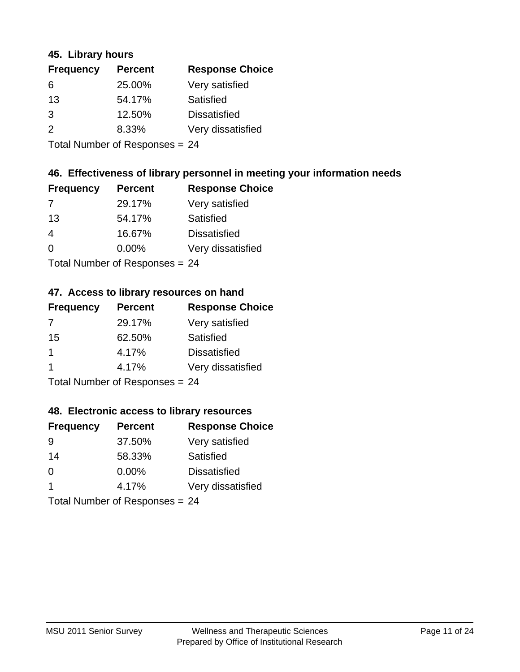#### **45. Library hours**

| <b>Frequency</b> | <b>Percent</b> | <b>Response Choice</b> |
|------------------|----------------|------------------------|
| 6                | 25.00%         | Very satisfied         |
| 13               | 54.17%         | Satisfied              |
| 3                | 12.50%         | <b>Dissatisfied</b>    |
| $\mathcal{P}$    | 8.33%          | Very dissatisfied      |
|                  |                |                        |

Total Number of Responses = 24

### **46. Effectiveness of library personnel in meeting your information needs**

| <b>Frequency</b> | <b>Percent</b> | <b>Response Choice</b> |
|------------------|----------------|------------------------|
| 7                | 29.17%         | Very satisfied         |
| 13               | 54.17%         | Satisfied              |
| 4                | 16.67%         | <b>Dissatisfied</b>    |
| $\Omega$         | 0.00%          | Very dissatisfied      |
|                  |                |                        |

Total Number of Responses = 24

#### **47. Access to library resources on hand**

| <b>Frequency</b> | <b>Percent</b>            | <b>Response Choice</b> |
|------------------|---------------------------|------------------------|
| 7                | 29.17%                    | Very satisfied         |
| 15               | 62.50%                    | Satisfied              |
| $\mathbf 1$      | 4.17%                     | <b>Dissatisfied</b>    |
|                  | 4.17%                     | Very dissatisfied      |
|                  | Total Number of Deepensee |                        |

Total Number of Responses = 24

#### **48. Electronic access to library resources**

| <b>Frequency</b>               | <b>Percent</b> | <b>Response Choice</b> |
|--------------------------------|----------------|------------------------|
| 9                              | 37.50%         | Very satisfied         |
| 14                             | 58.33%         | Satisfied              |
| $\Omega$                       | $0.00\%$       | <b>Dissatisfied</b>    |
| -1                             | 4.17%          | Very dissatisfied      |
| Total Number of Responses = 24 |                |                        |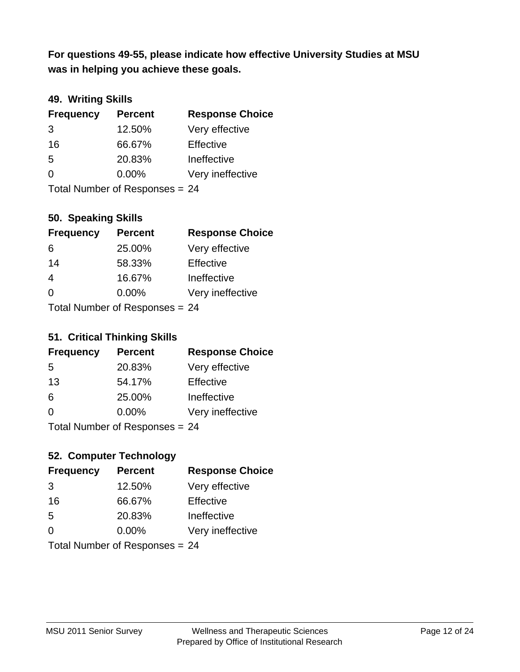**was in helping you achieve these goals. For questions 49-55, please indicate how effective University Studies at MSU** 

# **49. Writing Skills**

| <b>Frequency</b> | <b>Percent</b>                 | <b>Response Choice</b> |
|------------------|--------------------------------|------------------------|
| 3                | 12.50%                         | Very effective         |
| 16               | 66.67%                         | Effective              |
| 5                | 20.83%                         | Ineffective            |
| $\Omega$         | $0.00\%$                       | Very ineffective       |
|                  | Total Number of Responses = 24 |                        |

### **50. Speaking Skills**

| <b>Frequency</b> | <b>Percent</b>                  | <b>Response Choice</b> |
|------------------|---------------------------------|------------------------|
| 6                | 25.00%                          | Very effective         |
| 14               | 58.33%                          | Effective              |
| 4                | 16.67%                          | Ineffective            |
| $\Omega$         | $0.00\%$                        | Very ineffective       |
|                  | Total Number of Responses $-24$ |                        |

Total Number of Responses = 24

#### **51. Critical Thinking Skills**

| <b>Frequency</b>                 | <b>Percent</b> | <b>Response Choice</b> |
|----------------------------------|----------------|------------------------|
| -5                               | 20.83%         | Very effective         |
| 13                               | 54.17%         | Effective              |
| 6                                | 25.00%         | Ineffective            |
| $\Omega$                         | 0.00%          | Very ineffective       |
| $Total Number of Doononoog - 24$ |                |                        |

Total Number of Responses = 24

# **52. Computer Technology**

| <b>Frequency</b>               | <b>Percent</b> | <b>Response Choice</b> |
|--------------------------------|----------------|------------------------|
| 3                              | 12.50%         | Very effective         |
| 16                             | 66.67%         | Effective              |
| 5                              | 20.83%         | Ineffective            |
| $\Omega$                       | $0.00\%$       | Very ineffective       |
| Total Number of Responses = 24 |                |                        |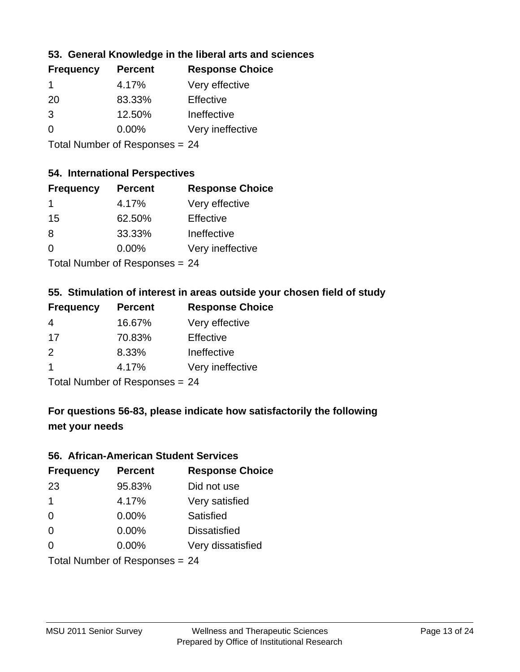### **53. General Knowledge in the liberal arts and sciences**

| <b>Frequency</b> | <b>Percent</b> | <b>Response Choice</b> |
|------------------|----------------|------------------------|
| -1               | 4.17%          | Very effective         |
| 20               | 83.33%         | Effective              |
| 3                | 12.50%         | Ineffective            |
| $\Omega$         | 0.00%          | Very ineffective       |
|                  |                |                        |

Total Number of Responses = 24

#### **54. International Perspectives**

| <b>Frequency</b> | <b>Percent</b>                              | <b>Response Choice</b> |
|------------------|---------------------------------------------|------------------------|
| 1                | 4.17%                                       | Very effective         |
| 15               | 62.50%                                      | Effective              |
| 8                | 33.33%                                      | Ineffective            |
| $\Omega$         | 0.00%                                       | Very ineffective       |
|                  | $T$ at all Masseds and $D$ are a second $T$ |                        |

Total Number of Responses = 24

#### **55. Stimulation of interest in areas outside your chosen field of study**

| <b>Frequency</b> | <b>Percent</b>                  | <b>Response Choice</b> |
|------------------|---------------------------------|------------------------|
| 4                | 16.67%                          | Very effective         |
| 17               | 70.83%                          | Effective              |
| $\mathcal{P}$    | 8.33%                           | Ineffective            |
| -1               | 4.17%                           | Very ineffective       |
|                  | $Total Number of Denonose = 24$ |                        |

Total Number of Responses = 24

# **For questions 56-83, please indicate how satisfactorily the following met your needs**

#### **56. African-American Student Services**

| <b>Frequency</b> | <b>Percent</b>                 | <b>Response Choice</b> |
|------------------|--------------------------------|------------------------|
| 23               | 95.83%                         | Did not use            |
| $\mathbf 1$      | 4.17%                          | Very satisfied         |
| $\Omega$         | 0.00%                          | Satisfied              |
| $\Omega$         | $0.00\%$                       | <b>Dissatisfied</b>    |
| $\Omega$         | 0.00%                          | Very dissatisfied      |
|                  | Total Number of Responses = 24 |                        |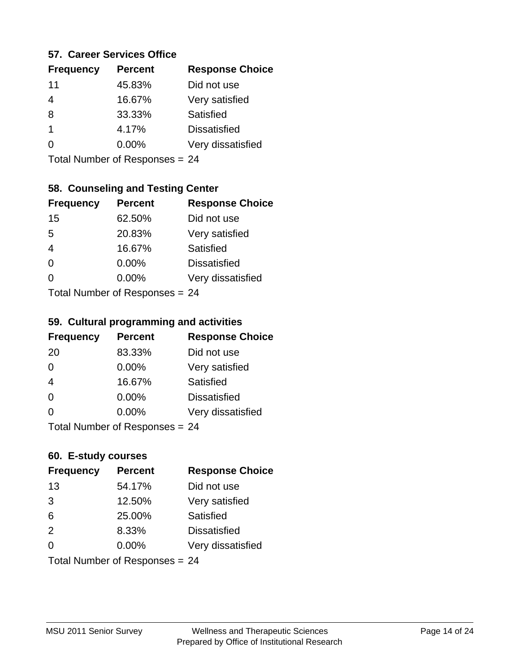#### **57. Career Services Office**

| <b>Frequency</b> | <b>Percent</b> | <b>Response Choice</b> |
|------------------|----------------|------------------------|
| 11               | 45.83%         | Did not use            |
|                  | 16.67%         | Very satisfied         |
| 8                | 33.33%         | Satisfied              |
| 1                | 4.17%          | <b>Dissatisfied</b>    |
|                  | $0.00\%$       | Very dissatisfied      |
|                  |                |                        |

Total Number of Responses = 24

# **58. Counseling and Testing Center**

| <b>Frequency</b>          | <b>Percent</b> | <b>Response Choice</b> |
|---------------------------|----------------|------------------------|
| 15                        | 62.50%         | Did not use            |
| 5                         | 20.83%         | Very satisfied         |
| $\overline{4}$            | 16.67%         | <b>Satisfied</b>       |
| $\Omega$                  | 0.00%          | <b>Dissatisfied</b>    |
| 0                         | $0.00\%$       | Very dissatisfied      |
| Total Number of Desponses |                |                        |

Total Number of Responses = 24

#### **59. Cultural programming and activities**

| <b>Frequency</b> | <b>Percent</b>                 | <b>Response Choice</b> |
|------------------|--------------------------------|------------------------|
| 20               | 83.33%                         | Did not use            |
| $\Omega$         | $0.00\%$                       | Very satisfied         |
| $\overline{4}$   | 16.67%                         | Satisfied              |
| $\Omega$         | $0.00\%$                       | <b>Dissatisfied</b>    |
| $\Omega$         | $0.00\%$                       | Very dissatisfied      |
|                  | Total Number of Responses = 24 |                        |

# **60. E-study courses**

| <b>Frequency</b> | <b>Percent</b>                 | <b>Response Choice</b> |
|------------------|--------------------------------|------------------------|
| 13               | 54.17%                         | Did not use            |
| 3                | 12.50%                         | Very satisfied         |
| 6                | 25.00%                         | Satisfied              |
| 2                | 8.33%                          | <b>Dissatisfied</b>    |
| $\Omega$         | $0.00\%$                       | Very dissatisfied      |
|                  | Total Number of Responses = 24 |                        |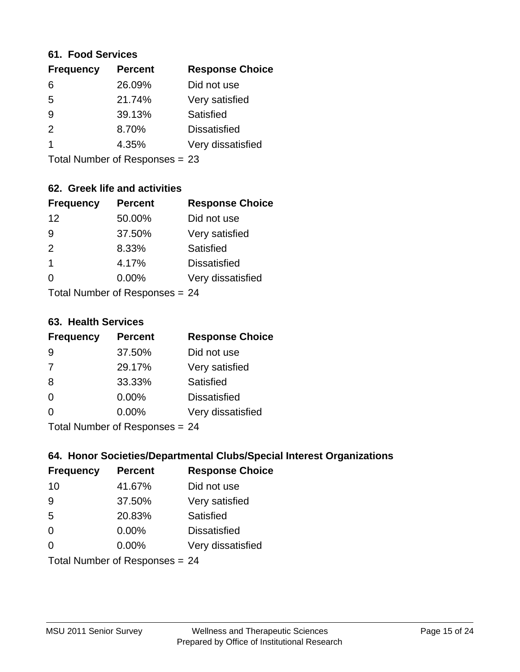#### **61. Food Services**

| <b>Percent</b> | <b>Response Choice</b> |
|----------------|------------------------|
| 26.09%         | Did not use            |
| 21.74%         | Very satisfied         |
| 39.13%         | Satisfied              |
| 8.70%          | <b>Dissatisfied</b>    |
| 4.35%          | Very dissatisfied      |
|                |                        |

Total Number of Responses = 23

# **62. Greek life and activities**

| <b>Frequency</b> | <b>Percent</b>                 | <b>Response Choice</b> |
|------------------|--------------------------------|------------------------|
| 12               | 50.00%                         | Did not use            |
| 9                | 37.50%                         | Very satisfied         |
| 2                | 8.33%                          | Satisfied              |
| 1                | 4.17%                          | <b>Dissatisfied</b>    |
| 0                | $0.00\%$                       | Very dissatisfied      |
|                  | Total Number of Responses = 24 |                        |

**63. Health Services**

| <b>Frequency</b> | <b>Percent</b>            | <b>Response Choice</b> |
|------------------|---------------------------|------------------------|
| 9                | 37.50%                    | Did not use            |
| 7                | 29.17%                    | Very satisfied         |
| 8                | 33.33%                    | <b>Satisfied</b>       |
| $\Omega$         | $0.00\%$                  | <b>Dissatisfied</b>    |
| $\Omega$         | $0.00\%$                  | Very dissatisfied      |
|                  | Total Number of Desponses |                        |

Total Number of Responses = 24

# **64. Honor Societies/Departmental Clubs/Special Interest Organizations**

| <b>Frequency</b> | <b>Percent</b>                 | <b>Response Choice</b> |
|------------------|--------------------------------|------------------------|
| 10               | 41.67%                         | Did not use            |
| 9                | 37.50%                         | Very satisfied         |
| 5                | 20.83%                         | Satisfied              |
| $\Omega$         | 0.00%                          | <b>Dissatisfied</b>    |
| $\Omega$         | 0.00%                          | Very dissatisfied      |
|                  | Total Number of Responses = 24 |                        |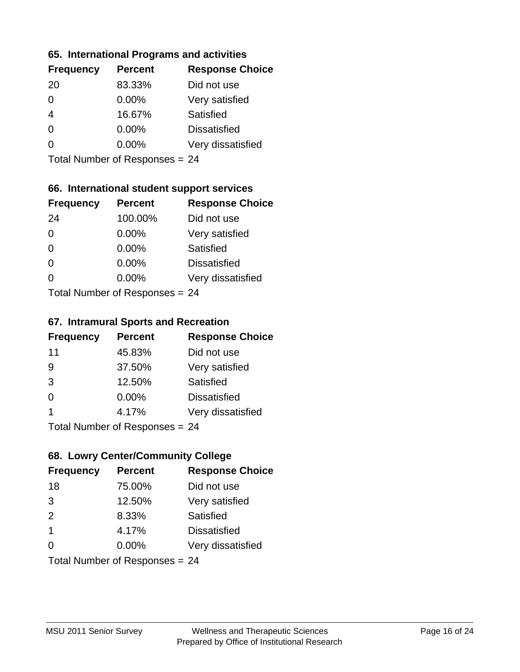#### **65. International Programs and activities**

| <b>Frequency</b> | <b>Percent</b> | <b>Response Choice</b> |
|------------------|----------------|------------------------|
| 20               | 83.33%         | Did not use            |
| 0                | $0.00\%$       | Very satisfied         |
|                  | 16.67%         | Satisfied              |
| 0                | $0.00\%$       | <b>Dissatisfied</b>    |
|                  | $0.00\%$       | Very dissatisfied      |
|                  |                |                        |

Total Number of Responses = 24

# **66. International student support services**

| <b>Frequency</b> | <b>Percent</b>            | <b>Response Choice</b> |
|------------------|---------------------------|------------------------|
| 24               | 100.00%                   | Did not use            |
| $\Omega$         | 0.00%                     | Very satisfied         |
| $\Omega$         | $0.00\%$                  | <b>Satisfied</b>       |
| $\Omega$         | 0.00%                     | <b>Dissatisfied</b>    |
| 0                | 0.00%                     | Very dissatisfied      |
|                  | Total Number of Desponses |                        |

Total Number of Responses = 24

#### **67. Intramural Sports and Recreation**

| <b>Frequency</b> | <b>Percent</b>               | <b>Response Choice</b> |
|------------------|------------------------------|------------------------|
| 11               | 45.83%                       | Did not use            |
| 9                | 37.50%                       | Very satisfied         |
| 3                | 12.50%                       | Satisfied              |
| $\Omega$         | $0.00\%$                     | <b>Dissatisfied</b>    |
| 1                | 4.17%                        | Very dissatisfied      |
|                  | Total Number of Deepensee 24 |                        |

Total Number of Responses = 24

# **68. Lowry Center/Community College**

| <b>Frequency</b>        | <b>Percent</b>                 | <b>Response Choice</b> |
|-------------------------|--------------------------------|------------------------|
| 18                      | 75.00%                         | Did not use            |
| 3                       | 12.50%                         | Very satisfied         |
| 2                       | 8.33%                          | Satisfied              |
| $\overline{\mathbf{1}}$ | 4.17%                          | <b>Dissatisfied</b>    |
| $\Omega$                | $0.00\%$                       | Very dissatisfied      |
|                         | Total Number of Responses = 24 |                        |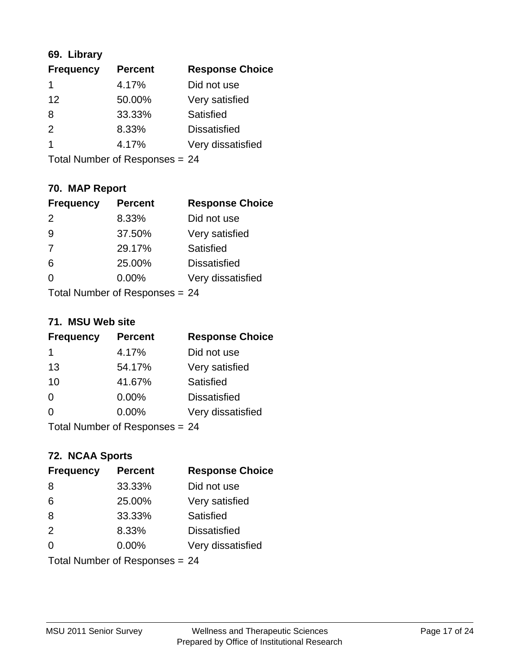# **69. Library**

| <b>Frequency</b> | <b>Percent</b> | <b>Response Choice</b> |
|------------------|----------------|------------------------|
| 1                | 4.17%          | Did not use            |
| 12               | 50.00%         | Very satisfied         |
| 8                | 33.33%         | Satisfied              |
| $\mathcal{P}$    | 8.33%          | <b>Dissatisfied</b>    |
| 1                | 4.17%          | Very dissatisfied      |
|                  |                |                        |

Total Number of Responses = 24

# **70. MAP Report**

| <b>Frequency</b> | <b>Percent</b>                 | <b>Response Choice</b> |
|------------------|--------------------------------|------------------------|
| 2                | 8.33%                          | Did not use            |
| 9                | 37.50%                         | Very satisfied         |
| 7                | 29.17%                         | Satisfied              |
| 6                | 25.00%                         | <b>Dissatisfied</b>    |
| 0                | $0.00\%$                       | Very dissatisfied      |
|                  | Total Number of Responses = 24 |                        |

#### **71. MSU Web site**

| <b>Frequency</b> | <b>Percent</b>                 | <b>Response Choice</b> |
|------------------|--------------------------------|------------------------|
| 1                | 4.17%                          | Did not use            |
| 13               | 54.17%                         | Very satisfied         |
| 10               | 41.67%                         | Satisfied              |
| $\Omega$         | 0.00%                          | <b>Dissatisfied</b>    |
| $\Omega$         | $0.00\%$                       | Very dissatisfied      |
|                  | Total Number of Responses = 24 |                        |

### **72. NCAA Sports**

| <b>Frequency</b> | <b>Percent</b>                 | <b>Response Choice</b> |
|------------------|--------------------------------|------------------------|
| 8                | 33.33%                         | Did not use            |
| 6                | 25.00%                         | Very satisfied         |
| 8                | 33.33%                         | Satisfied              |
| 2                | 8.33%                          | <b>Dissatisfied</b>    |
| $\Omega$         | $0.00\%$                       | Very dissatisfied      |
|                  | Total Number of Responses = 24 |                        |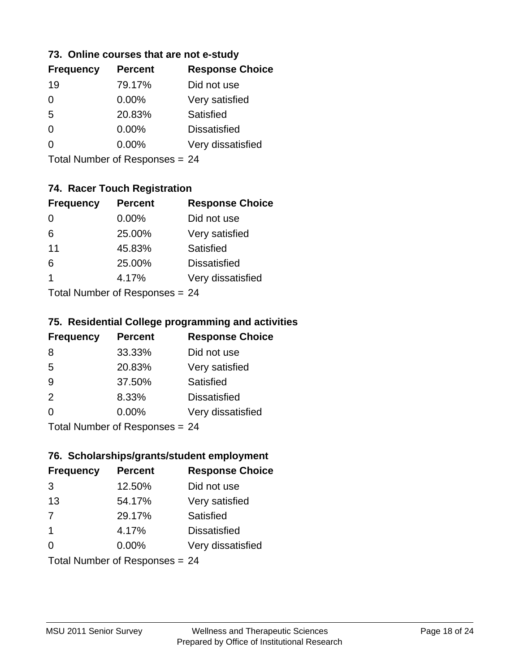### **73. Online courses that are not e-study**

| <b>Frequency</b> | <b>Percent</b> | <b>Response Choice</b> |
|------------------|----------------|------------------------|
| 19               | 79.17%         | Did not use            |
| 0                | $0.00\%$       | Very satisfied         |
| 5                | 20.83%         | Satisfied              |
|                  | $0.00\%$       | <b>Dissatisfied</b>    |
|                  | $0.00\%$       | Very dissatisfied      |
|                  |                |                        |

Total Number of Responses = 24

# **74. Racer Touch Registration**

| <b>Frequency</b>          | <b>Percent</b> | <b>Response Choice</b> |
|---------------------------|----------------|------------------------|
| $\Omega$                  | 0.00%          | Did not use            |
| 6                         | 25.00%         | Very satisfied         |
| 11                        | 45.83%         | <b>Satisfied</b>       |
| 6                         | 25.00%         | <b>Dissatisfied</b>    |
| 1                         | 4.17%          | Very dissatisfied      |
| Total Number of Desponses |                |                        |

Total Number of Responses = 24

#### **75. Residential College programming and activities**

| <b>Frequency</b>          | <b>Percent</b> | <b>Response Choice</b> |
|---------------------------|----------------|------------------------|
| 8                         | 33.33%         | Did not use            |
| 5                         | 20.83%         | Very satisfied         |
| 9                         | 37.50%         | Satisfied              |
| 2                         | 8.33%          | <b>Dissatisfied</b>    |
| $\Omega$                  | 0.00%          | Very dissatisfied      |
| Total Number of Desponses |                |                        |

Total Number of Responses = 24

#### **76. Scholarships/grants/student employment**

| <b>Frequency</b>        | <b>Percent</b>                 | <b>Response Choice</b> |
|-------------------------|--------------------------------|------------------------|
| 3                       | 12.50%                         | Did not use            |
| 13                      | 54.17%                         | Very satisfied         |
| 7                       | 29.17%                         | Satisfied              |
| $\overline{\mathbf{1}}$ | 4.17%                          | <b>Dissatisfied</b>    |
| $\Omega$                | 0.00%                          | Very dissatisfied      |
|                         | Total Number of Responses = 24 |                        |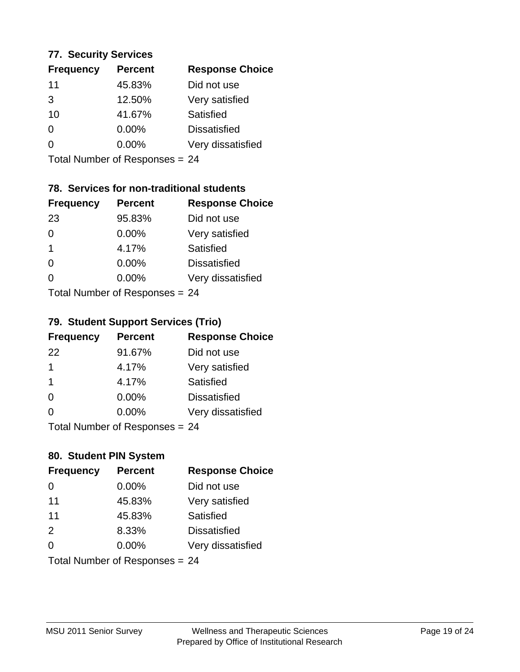#### **77. Security Services**

| <b>Frequency</b> | <b>Percent</b> | <b>Response Choice</b> |
|------------------|----------------|------------------------|
| 11               | 45.83%         | Did not use            |
| 3                | 12.50%         | Very satisfied         |
| 10               | 41.67%         | Satisfied              |
| 0                | $0.00\%$       | <b>Dissatisfied</b>    |
| ∩                | $0.00\%$       | Very dissatisfied      |
|                  |                |                        |

Total Number of Responses = 24

# **78. Services for non-traditional students**

| <b>Frequency</b>          | <b>Percent</b> | <b>Response Choice</b> |
|---------------------------|----------------|------------------------|
| 23                        | 95.83%         | Did not use            |
| $\Omega$                  | 0.00%          | Very satisfied         |
| $\mathbf 1$               | 4.17%          | <b>Satisfied</b>       |
| $\Omega$                  | 0.00%          | <b>Dissatisfied</b>    |
| ∩                         | 0.00%          | Very dissatisfied      |
| Total Number of Desponses |                |                        |

Total Number of Responses = 24

### **79. Student Support Services (Trio)**

| <b>Frequency</b>          | <b>Percent</b> | <b>Response Choice</b> |
|---------------------------|----------------|------------------------|
| 22                        | 91.67%         | Did not use            |
| 1                         | 4.17%          | Very satisfied         |
| $\overline{1}$            | 4.17%          | Satisfied              |
| $\Omega$                  | 0.00%          | <b>Dissatisfied</b>    |
| $\Omega$                  | 0.00%          | Very dissatisfied      |
| Total Number of Desponses |                |                        |

Total Number of Responses = 24

# **80. Student PIN System**

| <b>Frequency</b> | <b>Percent</b>                 | <b>Response Choice</b> |
|------------------|--------------------------------|------------------------|
| 0                | 0.00%                          | Did not use            |
| 11               | 45.83%                         | Very satisfied         |
| 11               | 45.83%                         | Satisfied              |
| 2                | 8.33%                          | <b>Dissatisfied</b>    |
| $\Omega$         | $0.00\%$                       | Very dissatisfied      |
|                  | Total Number of Responses = 24 |                        |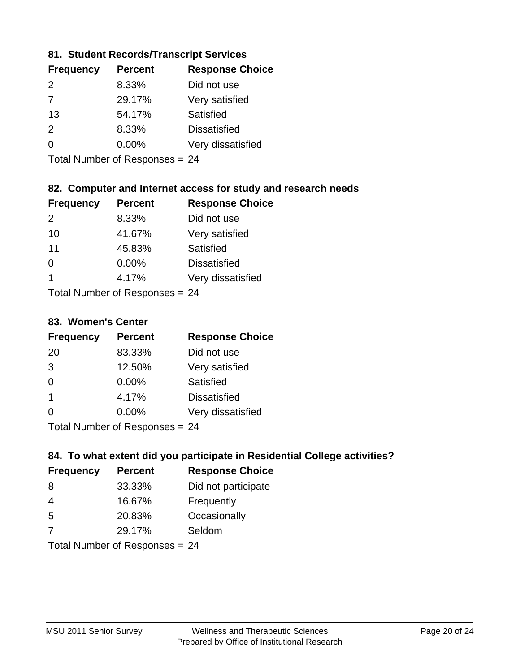### **81. Student Records/Transcript Services**

| <b>Frequency</b> | <b>Percent</b> | <b>Response Choice</b> |
|------------------|----------------|------------------------|
| $\mathcal{P}$    | 8.33%          | Did not use            |
| 7                | 29.17%         | Very satisfied         |
| -13              | 54.17%         | Satisfied              |
| $\mathcal{P}$    | 8.33%          | <b>Dissatisfied</b>    |
| ∩                | $0.00\%$       | Very dissatisfied      |
|                  |                |                        |

Total Number of Responses = 24

# **82. Computer and Internet access for study and research needs**

| <b>Frequency</b> | <b>Percent</b>             | <b>Response Choice</b> |
|------------------|----------------------------|------------------------|
| 2                | 8.33%                      | Did not use            |
| 10               | 41.67%                     | Very satisfied         |
| 11               | 45.83%                     | Satisfied              |
| 0                | 0.00%                      | <b>Dissatisfied</b>    |
| 1                | 4.17%                      | Very dissatisfied      |
|                  | Tatal Number of Desperance |                        |

Total Number of Responses = 24

#### **83. Women's Center**

| <b>Frequency</b>        | <b>Percent</b> | <b>Response Choice</b> |
|-------------------------|----------------|------------------------|
| 20                      | 83.33%         | Did not use            |
| 3                       | 12.50%         | Very satisfied         |
| $\Omega$                | $0.00\%$       | <b>Satisfied</b>       |
| $\overline{\mathbf{1}}$ | 4.17%          | <b>Dissatisfied</b>    |
| $\Omega$                | 0.00%          | Very dissatisfied      |
|                         |                |                        |

Total Number of Responses = 24

### **84. To what extent did you participate in Residential College activities?**

| <b>Frequency</b> | <b>Percent</b>                                                                                                 | <b>Response Choice</b> |
|------------------|----------------------------------------------------------------------------------------------------------------|------------------------|
| 8                | 33.33%                                                                                                         | Did not participate    |
| 4                | 16.67%                                                                                                         | Frequently             |
| 5                | 20.83%                                                                                                         | Occasionally           |
| -7               | 29.17%                                                                                                         | Seldom                 |
|                  | The INDIAN Contract Contract in the Contract of Contract of Contract of Contract of Contract of Contract of Co |                        |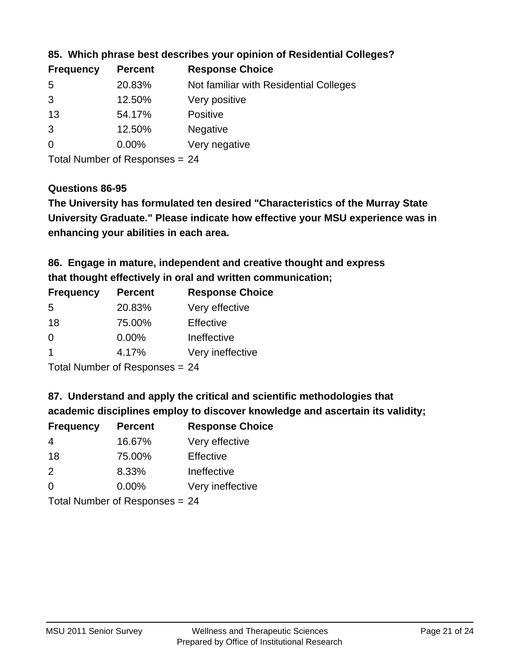| Not familiar with Residential Colleges |
|----------------------------------------|
|                                        |
|                                        |
|                                        |
|                                        |
|                                        |

### **85. Which phrase best describes your opinion of Residential Colleges?**

Total Number of Responses = 24

#### **Questions 86-95**

**University Graduate." Please indicate how effective your MSU experience was in The University has formulated ten desired "Characteristics of the Murray State enhancing your abilities in each area.**

**86. Engage in mature, independent and creative thought and express that thought effectively in oral and written communication;**

| <b>Frequency</b> | <b>Percent</b> | <b>Response Choice</b> |
|------------------|----------------|------------------------|
| 5                | 20.83%         | Very effective         |
| 18               | 75.00%         | Effective              |
| 0                | $0.00\%$       | Ineffective            |
|                  | 4.17%          | Very ineffective       |
|                  |                |                        |

Total Number of Responses = 24

#### **87. Understand and apply the critical and scientific methodologies that**

**academic disciplines employ to discover knowledge and ascertain its validity;**

| <b>Frequency</b> | <b>Percent</b> | <b>Response Choice</b> |
|------------------|----------------|------------------------|
| 4                | 16.67%         | Very effective         |
| 18               | 75.00%         | Effective              |
| $\mathcal{P}$    | 8.33%          | Ineffective            |
| $\Omega$         | 0.00%          | Very ineffective       |
|                  |                |                        |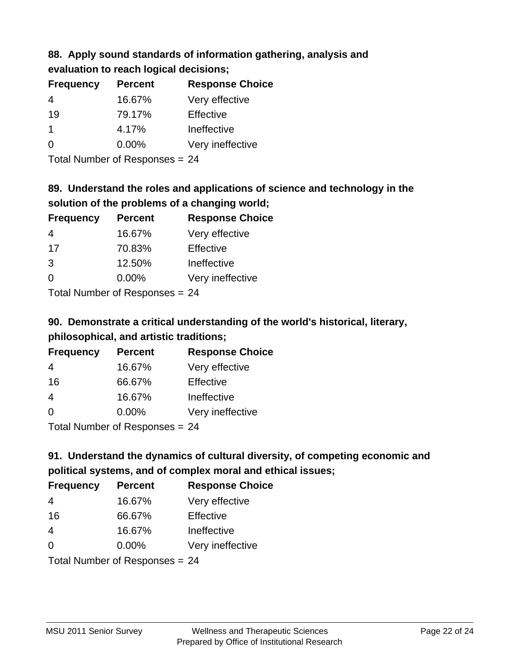# **88. Apply sound standards of information gathering, analysis and evaluation to reach logical decisions;**

| <b>Frequency</b> | <b>Percent</b> | <b>Response Choice</b> |
|------------------|----------------|------------------------|
| 4                | 16.67%         | Very effective         |
| 19               | 79.17%         | Effective              |
|                  | 4.17%          | Ineffective            |
| $\Omega$         | $0.00\%$       | Very ineffective       |

Total Number of Responses = 24

# **89. Understand the roles and applications of science and technology in the solution of the problems of a changing world;**

| <b>Frequency</b> | <b>Percent</b>                                          | <b>Response Choice</b> |
|------------------|---------------------------------------------------------|------------------------|
| $\overline{4}$   | 16.67%                                                  | Very effective         |
| 17               | 70.83%                                                  | Effective              |
| 3                | 12.50%                                                  | Ineffective            |
| $\Omega$         | $0.00\%$                                                | Very ineffective       |
|                  | $T$ at all Masseds and $R$ $\sim$ and $\sim$ and $\sim$ |                        |

Total Number of Responses = 24

# **90. Demonstrate a critical understanding of the world's historical, literary, philosophical, and artistic traditions;**

| <b>Frequency</b> | <b>Percent</b> | <b>Response Choice</b> |
|------------------|----------------|------------------------|
| 4                | 16.67%         | Very effective         |
| 16               | 66.67%         | Effective              |
| 4                | 16.67%         | Ineffective            |
| $\Omega$         | 0.00%          | Very ineffective       |
|                  |                |                        |

Total Number of Responses = 24

# **91. Understand the dynamics of cultural diversity, of competing economic and political systems, and of complex moral and ethical issues;**

| <b>Frequency</b> | <b>Percent</b>                 | <b>Response Choice</b> |
|------------------|--------------------------------|------------------------|
| 4                | 16.67%                         | Very effective         |
| 16               | 66.67%                         | Effective              |
| $\overline{4}$   | 16.67%                         | Ineffective            |
| $\Omega$         | 0.00%                          | Very ineffective       |
|                  | Total Number of Responses = 24 |                        |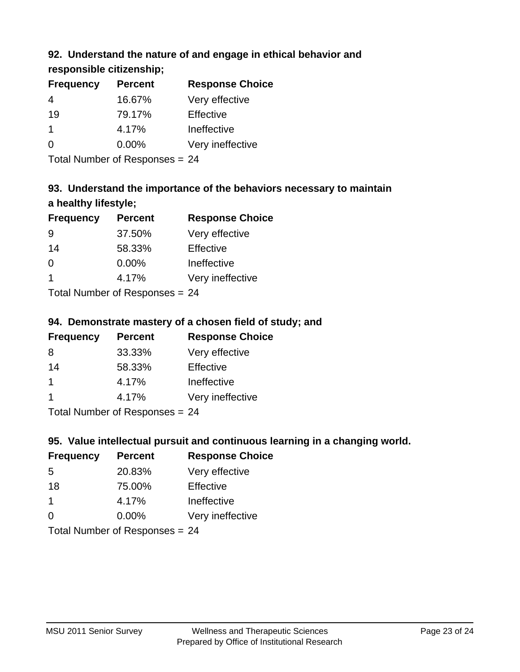# **92. Understand the nature of and engage in ethical behavior and**

**responsible citizenship;**

| <b>Frequency</b> | <b>Percent</b> | <b>Response Choice</b> |
|------------------|----------------|------------------------|
|                  | 16.67%         | Very effective         |
| 19               | 79.17%         | Effective              |
|                  | 4.17%          | Ineffective            |
| $\Omega$         | $0.00\%$       | Very ineffective       |
|                  |                |                        |

Total Number of Responses = 24

# **93. Understand the importance of the behaviors necessary to maintain a healthy lifestyle;**

| <b>Frequency</b>                         | <b>Percent</b> | <b>Response Choice</b> |
|------------------------------------------|----------------|------------------------|
| 9                                        | 37.50%         | Very effective         |
| 14                                       | 58.33%         | Effective              |
| $\Omega$                                 | $0.00\%$       | Ineffective            |
| -1                                       | 4.17%          | Very ineffective       |
| $T$ at all Message and $D$ are a serious |                |                        |

Total Number of Responses = 24

# **94. Demonstrate mastery of a chosen field of study; and**

| <b>Frequency</b> | <b>Percent</b> | <b>Response Choice</b> |
|------------------|----------------|------------------------|
| 8                | 33.33%         | Very effective         |
| 14               | 58.33%         | Effective              |
|                  | 4.17%          | Ineffective            |
|                  | 4.17%          | Very ineffective       |
|                  |                |                        |

Total Number of Responses = 24

# **95. Value intellectual pursuit and continuous learning in a changing world.**

| <b>Frequency</b>                        | <b>Percent</b> | <b>Response Choice</b> |
|-----------------------------------------|----------------|------------------------|
| 5                                       | 20.83%         | Very effective         |
| 18                                      | 75.00%         | Effective              |
| 1                                       | 4.17%          | Ineffective            |
| $\Omega$                                | 0.00%          | Very ineffective       |
| $T$ at all Message and $D$ are a second |                |                        |